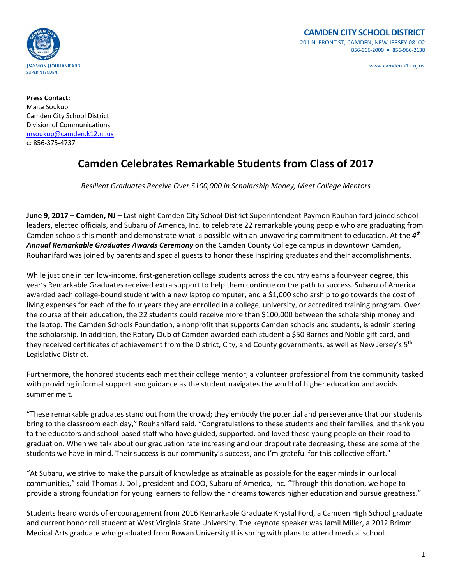

**Press Contact:** Maita Soukup Camden City School District Division of Communications msoukup@camden.k12.nj.us c: 856‐375‐4737

## **Camden Celebrates Remarkable Students from Class of 2017**

*Resilient Graduates Receive Over \$100,000 in Scholarship Money, Meet College Mentors*

**June 9, 2017 – Camden, NJ –** Last night Camden City School District Superintendent Paymon Rouhanifard joined school leaders, elected officials, and Subaru of America, Inc. to celebrate 22 remarkable young people who are graduating from Camden schools this month and demonstrate what is possible with an unwavering commitment to education. At the *4th Annual Remarkable Graduates Awards Ceremony* on the Camden County College campus in downtown Camden, Rouhanifard was joined by parents and special guests to honor these inspiring graduates and their accomplishments.

While just one in ten low-income, first-generation college students across the country earns a four-year degree, this year's Remarkable Graduates received extra support to help them continue on the path to success. Subaru of America awarded each college‐bound student with a new laptop computer, and a \$1,000 scholarship to go towards the cost of living expenses for each of the four years they are enrolled in a college, university, or accredited training program. Over the course of their education, the 22 students could receive more than \$100,000 between the scholarship money and the laptop. The Camden Schools Foundation, a nonprofit that supports Camden schools and students, is administering the scholarship. In addition, the Rotary Club of Camden awarded each student a \$50 Barnes and Noble gift card, and they received certificates of achievement from the District, City, and County governments, as well as New Jersey's 5<sup>th</sup> Legislative District.

Furthermore, the honored students each met their college mentor, a volunteer professional from the community tasked with providing informal support and guidance as the student navigates the world of higher education and avoids summer melt.

"These remarkable graduates stand out from the crowd; they embody the potential and perseverance that our students bring to the classroom each day," Rouhanifard said. "Congratulations to these students and their families, and thank you to the educators and school‐based staff who have guided, supported, and loved these young people on their road to graduation. When we talk about our graduation rate increasing and our dropout rate decreasing, these are some of the students we have in mind. Their success is our community's success, and I'm grateful for this collective effort."

"At Subaru, we strive to make the pursuit of knowledge as attainable as possible for the eager minds in our local communities," said Thomas J. Doll, president and COO, Subaru of America, Inc. "Through this donation, we hope to provide a strong foundation for young learners to follow their dreams towards higher education and pursue greatness."

Students heard words of encouragement from 2016 Remarkable Graduate Krystal Ford, a Camden High School graduate and current honor roll student at West Virginia State University. The keynote speaker was Jamil Miller, a 2012 Brimm Medical Arts graduate who graduated from Rowan University this spring with plans to attend medical school.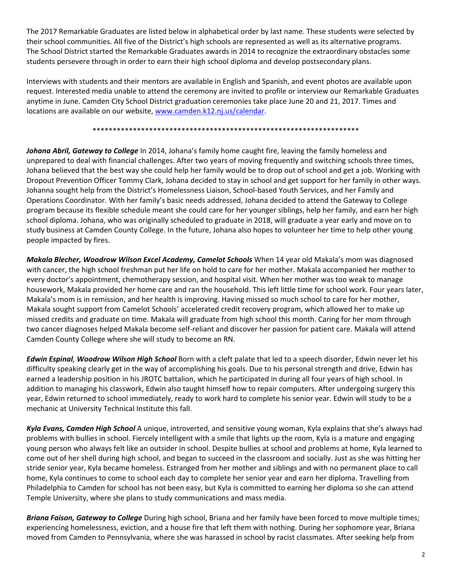The 2017 Remarkable Graduates are listed below in alphabetical order by last name. These students were selected by their school communities. All five of the District's high schools are represented as well as its alternative programs. The School District started the Remarkable Graduates awards in 2014 to recognize the extraordinary obstacles some students persevere through in order to earn their high school diploma and develop postsecondary plans.

Interviews with students and their mentors are available in English and Spanish, and event photos are available upon request. Interested media unable to attend the ceremony are invited to profile or interview our Remarkable Graduates anytime in June. Camden City School District graduation ceremonies take place June 20 and 21, 2017. Times and locations are available on our website, www.camden.k12.nj.us/calendar.

\*\*\*\*\*\*\*\*\*\*\*\*\*\*\*\*\*\*\*\*\*\*\*\*\*\*\*\*\*\*\*\*\*\*\*\*\*\*\*\*\*\*\*\*\*\*\*\*\*\*\*\*\*\*\*\*\*\*\*\*\*\*\*\*\*\*

*Johana Abril, Gateway to College* In 2014, Johana's family home caught fire, leaving the family homeless and unprepared to deal with financial challenges. After two years of moving frequently and switching schools three times, Johana believed that the best way she could help her family would be to drop out of school and get a job. Working with Dropout Prevention Officer Tommy Clark, Johana decided to stay in school and get support for her family in other ways. Johanna sought help from the District's Homelessness Liaison, School‐based Youth Services, and her Family and Operations Coordinator. With her family's basic needs addressed, Johana decided to attend the Gateway to College program because its flexible schedule meant she could care for her younger siblings, help her family, and earn her high school diploma. Johana, who was originally scheduled to graduate in 2018, will graduate a year early and move on to study business at Camden County College. In the future, Johana also hopes to volunteer her time to help other young people impacted by fires.

*Makala Blecher, Woodrow Wilson Excel Academy, Camelot Schools* When 14 year old Makala's mom was diagnosed with cancer, the high school freshman put her life on hold to care for her mother. Makala accompanied her mother to every doctor's appointment, chemotherapy session, and hospital visit. When her mother was too weak to manage housework, Makala provided her home care and ran the household. This left little time for school work. Four years later, Makala's mom is in remission, and her health is improving. Having missed so much school to care for her mother, Makala sought support from Camelot Schools' accelerated credit recovery program, which allowed her to make up missed credits and graduate on time. Makala will graduate from high school this month. Caring for her mom through two cancer diagnoses helped Makala become self‐reliant and discover her passion for patient care. Makala will attend Camden County College where she will study to become an RN.

*Edwin Espinal, Woodrow Wilson High School* Born with a cleft palate that led to a speech disorder, Edwin never let his difficulty speaking clearly get in the way of accomplishing his goals. Due to his personal strength and drive, Edwin has earned a leadership position in his JROTC battalion, which he participated in during all four years of high school. In addition to managing his classwork, Edwin also taught himself how to repair computers. After undergoing surgery this year, Edwin returned to school immediately, ready to work hard to complete his senior year. Edwin will study to be a mechanic at University Technical Institute this fall.

*Kyla Evans, Camden High School* A unique, introverted, and sensitive young woman, Kyla explains that she's always had problems with bullies in school. Fiercely intelligent with a smile that lights up the room, Kyla is a mature and engaging young person who always felt like an outsider in school. Despite bullies at school and problems at home, Kyla learned to come out of her shell during high school, and began to succeed in the classroom and socially. Just as she was hitting her stride senior year, Kyla became homeless. Estranged from her mother and siblings and with no permanent place to call home, Kyla continues to come to school each day to complete her senior year and earn her diploma. Travelling from Philadelphia to Camden for school has not been easy, but Kyla is committed to earning her diploma so she can attend Temple University, where she plans to study communications and mass media.

*Briana Faison, Gateway to College* During high school, Briana and her family have been forced to move multiple times; experiencing homelessness, eviction, and a house fire that left them with nothing. During her sophomore year, Briana moved from Camden to Pennsylvania, where she was harassed in school by racist classmates. After seeking help from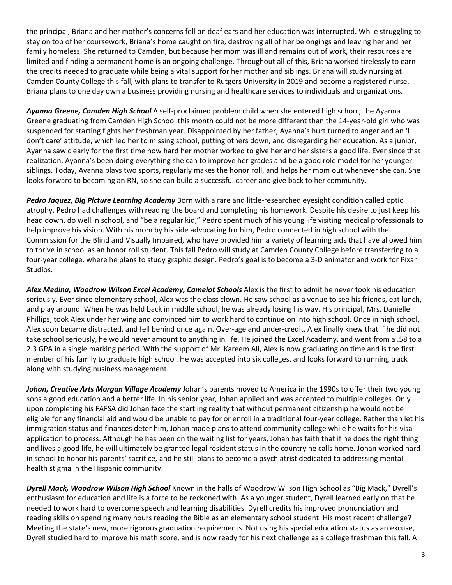the principal, Briana and her mother's concerns fell on deaf ears and her education was interrupted. While struggling to stay on top of her coursework, Briana's home caught on fire, destroying all of her belongings and leaving her and her family homeless. She returned to Camden, but because her mom was ill and remains out of work, their resources are limited and finding a permanent home is an ongoing challenge. Throughout all of this, Briana worked tirelessly to earn the credits needed to graduate while being a vital support for her mother and siblings. Briana will study nursing at Camden County College this fall, with plans to transfer to Rutgers University in 2019 and become a registered nurse. Briana plans to one day own a business providing nursing and healthcare services to individuals and organizations.

*Ayanna Greene, Camden High School* A self‐proclaimed problem child when she entered high school, the Ayanna Greene graduating from Camden High School this month could not be more different than the 14‐year‐old girl who was suspended for starting fights her freshman year. Disappointed by her father, Ayanna's hurt turned to anger and an 'I don't care' attitude, which led her to missing school, putting others down, and disregarding her education. As a junior, Ayanna saw clearly for the first time how hard her mother worked to give her and her sisters a good life. Ever since that realization, Ayanna's been doing everything she can to improve her grades and be a good role model for her younger siblings. Today, Ayanna plays two sports, regularly makes the honor roll, and helps her mom out whenever she can. She looks forward to becoming an RN, so she can build a successful career and give back to her community.

*Pedro Jaquez, Big Picture Learning Academy* Born with a rare and little‐researched eyesight condition called optic atrophy, Pedro had challenges with reading the board and completing his homework. Despite his desire to just keep his head down, do well in school, and "be a regular kid," Pedro spent much of his young life visiting medical professionals to help improve his vision. With his mom by his side advocating for him, Pedro connected in high school with the Commission for the Blind and Visually Impaired, who have provided him a variety of learning aids that have allowed him to thrive in school as an honor roll student. This fall Pedro will study at Camden County College before transferring to a four-year college, where he plans to study graphic design. Pedro's goal is to become a 3-D animator and work for Pixar Studios.

*Alex Medina, Woodrow Wilson Excel Academy, Camelot Schools* Alex is the first to admit he never took his education seriously. Ever since elementary school, Alex was the class clown. He saw school as a venue to see his friends, eat lunch, and play around. When he was held back in middle school, he was already losing his way. His principal, Mrs. Danielle Phillips, took Alex under her wing and convinced him to work hard to continue on into high school. Once in high school, Alex soon became distracted, and fell behind once again. Over‐age and under‐credit, Alex finally knew that if he did not take school seriously, he would never amount to anything in life. He joined the Excel Academy, and went from a .58 to a 2.3 GPA in a single marking period. With the support of Mr. Kareem Ali, Alex is now graduating on time and is the first member of his family to graduate high school. He was accepted into six colleges, and looks forward to running track along with studying business management.

*Johan, Creative Arts Morgan Village Academy* Johan's parents moved to America in the 1990s to offer their two young sons a good education and a better life. In his senior year, Johan applied and was accepted to multiple colleges. Only upon completing his FAFSA did Johan face the startling reality that without permanent citizenship he would not be eligible for any financial aid and would be unable to pay for or enroll in a traditional four‐year college. Rather than let his immigration status and finances deter him, Johan made plans to attend community college while he waits for his visa application to process. Although he has been on the waiting list for years, Johan has faith that if he does the right thing and lives a good life, he will ultimately be granted legal resident status in the country he calls home. Johan worked hard in school to honor his parents' sacrifice, and he still plans to become a psychiatrist dedicated to addressing mental health stigma in the Hispanic community.

*Dyrell Mack, Woodrow Wilson High School* Known in the halls of Woodrow Wilson High School as "Big Mack," Dyrell's enthusiasm for education and life is a force to be reckoned with. As a younger student, Dyrell learned early on that he needed to work hard to overcome speech and learning disabilities. Dyrell credits his improved pronunciation and reading skills on spending many hours reading the Bible as an elementary school student. His most recent challenge? Meeting the state's new, more rigorous graduation requirements. Not using his special education status as an excuse, Dyrell studied hard to improve his math score, and is now ready for his next challenge as a college freshman this fall. A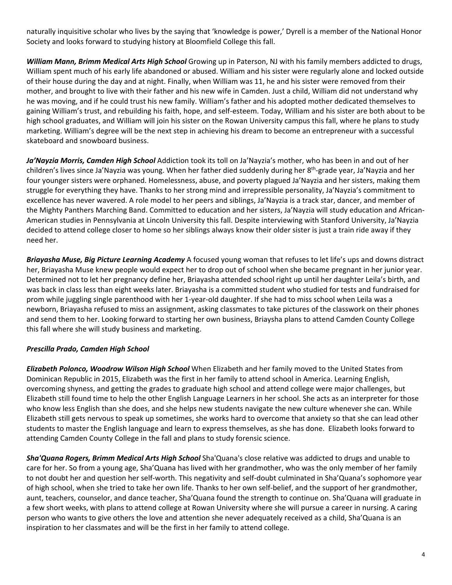naturally inquisitive scholar who lives by the saying that 'knowledge is power,' Dyrell is a member of the National Honor Society and looks forward to studying history at Bloomfield College this fall.

*William Mann, Brimm Medical Arts High School* Growing up in Paterson, NJ with his family members addicted to drugs, William spent much of his early life abandoned or abused. William and his sister were regularly alone and locked outside of their house during the day and at night. Finally, when William was 11, he and his sister were removed from their mother, and brought to live with their father and his new wife in Camden. Just a child, William did not understand why he was moving, and if he could trust his new family. William's father and his adopted mother dedicated themselves to gaining William's trust, and rebuilding his faith, hope, and self‐esteem. Today, William and his sister are both about to be high school graduates, and William will join his sister on the Rowan University campus this fall, where he plans to study marketing. William's degree will be the next step in achieving his dream to become an entrepreneur with a successful skateboard and snowboard business.

*Ja'Nayzia Morris, Camden High School* Addiction took its toll on Ja'Nayzia's mother, who has been in and out of her children's lives since Ja'Nayzia was young. When her father died suddenly during her 8<sup>th</sup>-grade year, Ja'Nayzia and her four younger sisters were orphaned. Homelessness, abuse, and poverty plagued Ja'Nayzia and her sisters, making them struggle for everything they have. Thanks to her strong mind and irrepressible personality, Ja'Nayzia's commitment to excellence has never wavered. A role model to her peers and siblings, Ja'Nayzia is a track star, dancer, and member of the Mighty Panthers Marching Band. Committed to education and her sisters, Ja'Nayzia will study education and African‐ American studies in Pennsylvania at Lincoln University this fall. Despite interviewing with Stanford University, Ja'Nayzia decided to attend college closer to home so her siblings always know their older sister is just a train ride away if they need her.

*Briayasha Muse, Big Picture Learning Academy* A focused young woman that refuses to let life's ups and downs distract her, Briayasha Muse knew people would expect her to drop out of school when she became pregnant in her junior year. Determined not to let her pregnancy define her, Briayasha attended school right up until her daughter Leila's birth, and was back in class less than eight weeks later. Briayasha is a committed student who studied for tests and fundraised for prom while juggling single parenthood with her 1‐year‐old daughter. If she had to miss school when Leila was a newborn, Briayasha refused to miss an assignment, asking classmates to take pictures of the classwork on their phones and send them to her. Looking forward to starting her own business, Briaysha plans to attend Camden County College this fall where she will study business and marketing.

## *Prescilla Prado, Camden High School*

*Elizabeth Polonco, Woodrow Wilson High School* When Elizabeth and her family moved to the United States from Dominican Republic in 2015, Elizabeth was the first in her family to attend school in America. Learning English, overcoming shyness, and getting the grades to graduate high school and attend college were major challenges, but Elizabeth still found time to help the other English Language Learners in her school. She acts as an interpreter for those who know less English than she does, and she helps new students navigate the new culture whenever she can. While Elizabeth still gets nervous to speak up sometimes, she works hard to overcome that anxiety so that she can lead other students to master the English language and learn to express themselves, as she has done. Elizabeth looks forward to attending Camden County College in the fall and plans to study forensic science.

*Sha'Quana Rogers, Brimm Medical Arts High School* Sha'Quana's close relative was addicted to drugs and unable to care for her. So from a young age, Sha'Quana has lived with her grandmother, who was the only member of her family to not doubt her and question her self‐worth. This negativity and self‐doubt culminated in Sha'Quana's sophomore year of high school, when she tried to take her own life. Thanks to her own self‐belief, and the support of her grandmother, aunt, teachers, counselor, and dance teacher, Sha'Quana found the strength to continue on. Sha'Quana will graduate in a few short weeks, with plans to attend college at Rowan University where she will pursue a career in nursing. A caring person who wants to give others the love and attention she never adequately received as a child, Sha'Quana is an inspiration to her classmates and will be the first in her family to attend college.